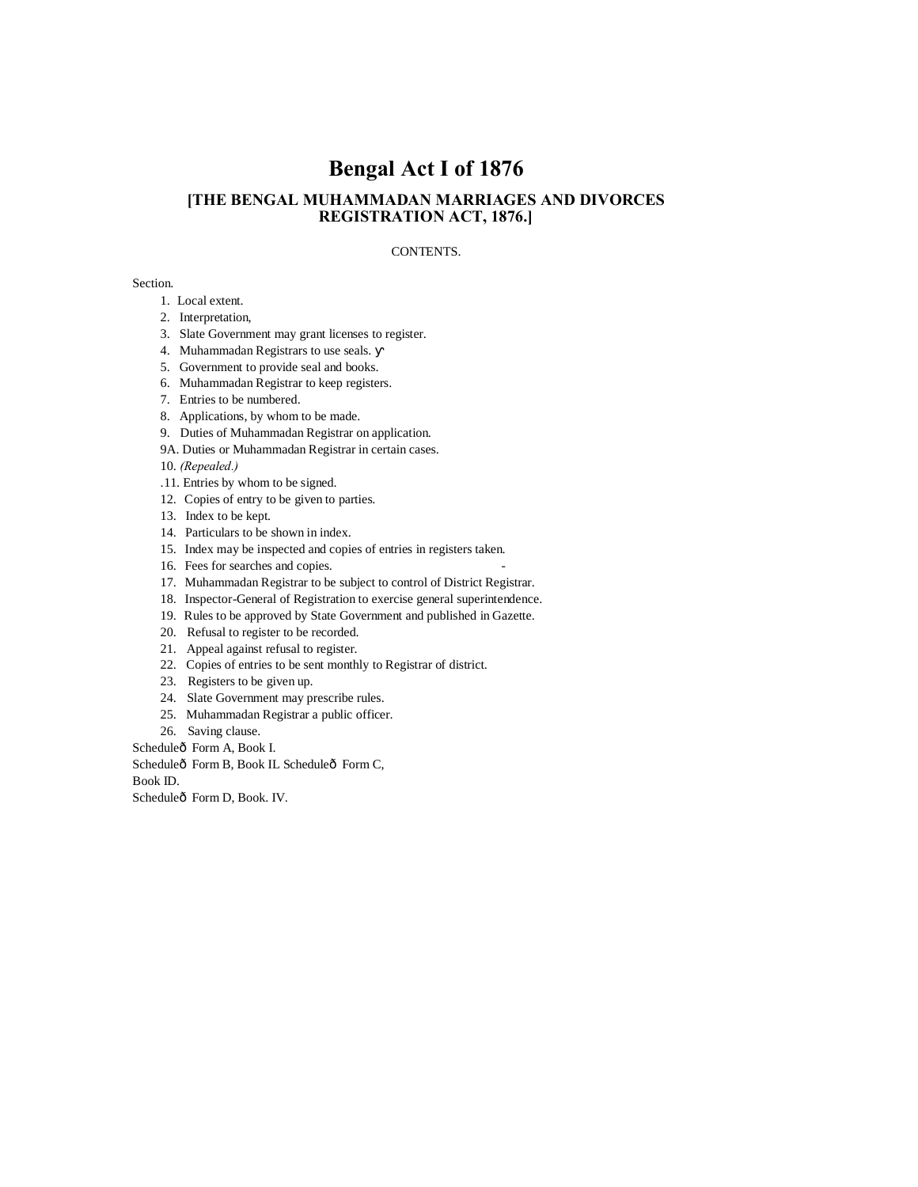# **Bengal Act I of 1876**

## **[THE BENGAL MUHAMMADAN MARRIAGES AND DIVORCES REGISTRATION ACT, 1876.]**

### CONTENTS.

#### Section.

- 1. Local extent.
- 2. Interpretation,
- 3. Slate Government may grant licenses to register.
- 4. Muhammadan Registrars to use seals.
- 5. Government to provide seal and books.
- 6. Muhammadan Registrar to keep registers.
- 7. Entries to be numbered.
- 8. Applications, by whom to be made.
- 9. Duties of Muhammadan Registrar on application.
- 9A. Duties or Muhammadan Registrar in certain cases.

10. *(Repealed.)*

- .11. Entries by whom to be signed.
- 12. Copies of entry to be given to parties.
- 13. Index to be kept.
- 14. Particulars to be shown in index.
- 15. Index may be inspected and copies of entries in registers taken.
- 16. Fees for searches and copies.
- 17. Muhammadan Registrar to be subject to control of District Registrar.
- 18. Inspector-General of Registration to exercise general superintendence.
- 19. Rules to be approved by State Government and published in Gazette.
- 20. Refusal to register to be recorded.
- 21. Appeal against refusal to register.
- 22. Copies of entries to be sent monthly to Registrar of district.
- 23. Registers to be given up.
- 24. Slate Government may prescribe rules.
- 25. Muhammadan Registrar a public officer.
- 26. Saving clause.

Scheduleô Form A, Book I.

Scheduleô Form B, Book IL Scheduleô Form C,

Book ID.

Scheduleô Form D, Book. IV.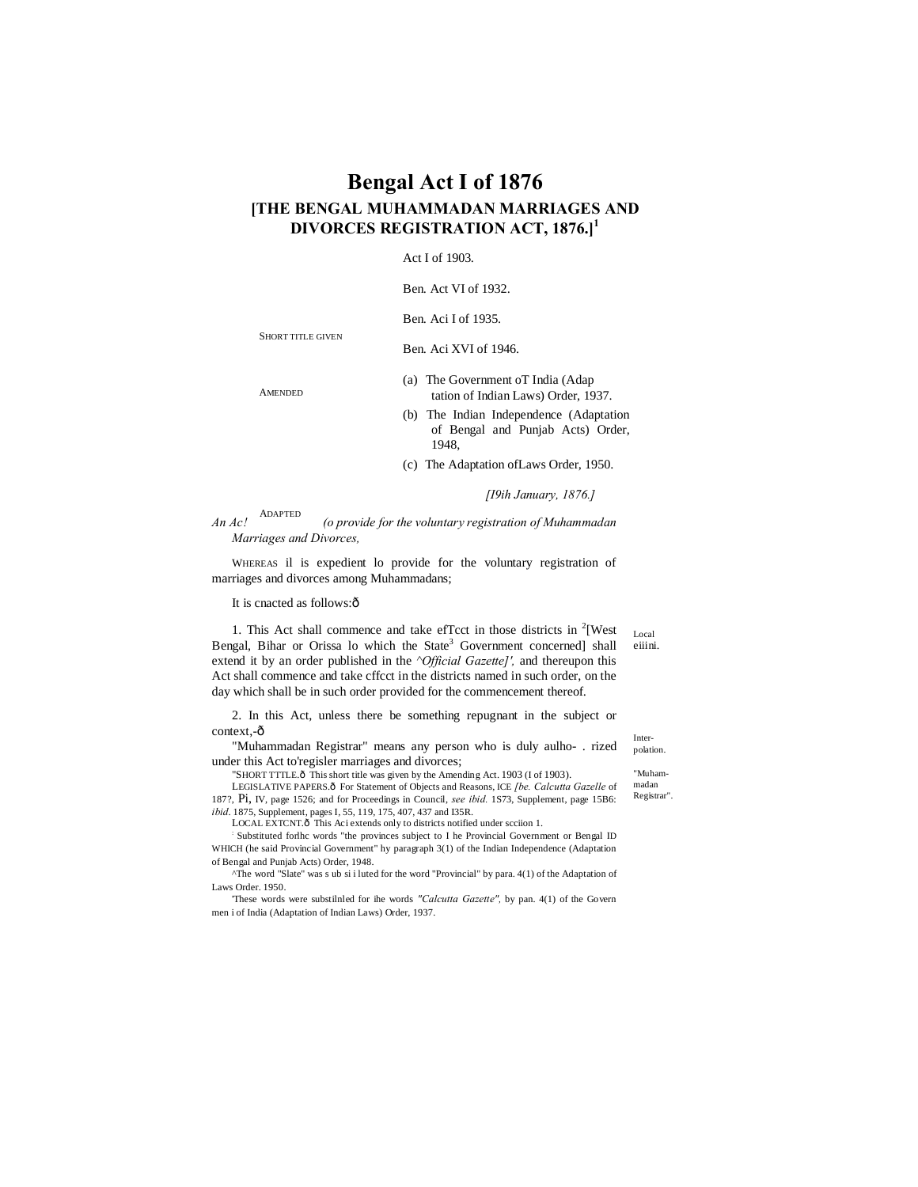## **Bengal Act I of 1876 [THE BENGAL MUHAMMADAN MARRIAGES AND DIVORCES REGISTRATION ACT, 1876.]<sup>1</sup>**

Act I of 1903.

Ben. Act VI of 1932.

Ben. Aci I of 1935.

Ben. Aci XVI of 1946.

**AMENDED** 

SHORT TITLE GIVEN

(a) The Government oT India (Adap tation of Indian Laws) Order, 1937.

(b) The Indian Independence (Adaptation of Bengal and Punjab Acts) Order, 1948,

(c) The Adaptation ofLaws Order, 1950.

*[I9ih January, 1876.]*

ADAPTED *An Ac! (o provide for the voluntary registration of Muhammadan Marriages and Divorces,*

WHEREAS il is expedient lo provide for the voluntary registration of marriages and divorces among Muhammadans;

It is cnacted as follows: $ô$ 

1. This Act shall commence and take ef $T$ cct in those districts in  $2$ [West Bengal, Bihar or Orissa lo which the State<sup>3</sup> Government concerned] shall extend it by an order published in the *^Official Gazette]',* and thereupon this Act shall commence and take cffcct in the districts named in such order, on the day which shall be in such order provided for the commencement thereof.

2. In this Act, unless there be something repugnant in the subject or context,-ô

"Muhammadan Registrar" means any person who is duly aulho- . rized under this Act to'regisler marriages and divorces;

"SHORT TTTLE.ô This short title was given by the Amending Act. 1903 (I of 1903).

LEGISLATIVE PAPERS.<sup>6</sup> For Statement of Objects and Reasons, ICE [be. Calcutta Gazelle of 187?, Pi, IV, page 1526; and for Proceedings in Council, *see ibid.* 1S73, Supplement, page 15B6: *ibid*. 1875, Supplement, pages I, 55, 119, 175, 407, 437 and I35R.

LOCAL EXTCNT. $\hat{o}$  This Aci extends only to districts notified under scciion 1.

: Substituted forlhc words "the provinces subject to I he Provincial Government or Bengal ID WHICH (he said Provincial Government" hy paragraph 3(1) of the Indian Independence (Adaptation of Bengal and Punjab Acts) Order, 1948.

^The word "Slate" was s ub si i luted for the word "Provincial" by para. 4(1) of the Adaptation of Laws Order. 1950.

'These words were substilnled for ihe words *"Calcutta Gazette",* by pan. 4(1) of the Govern men i of India (Adaptation of Indian Laws) Order, 1937.

Local eiiini.

> Interpolation.

madan

"Muham-

Registrar".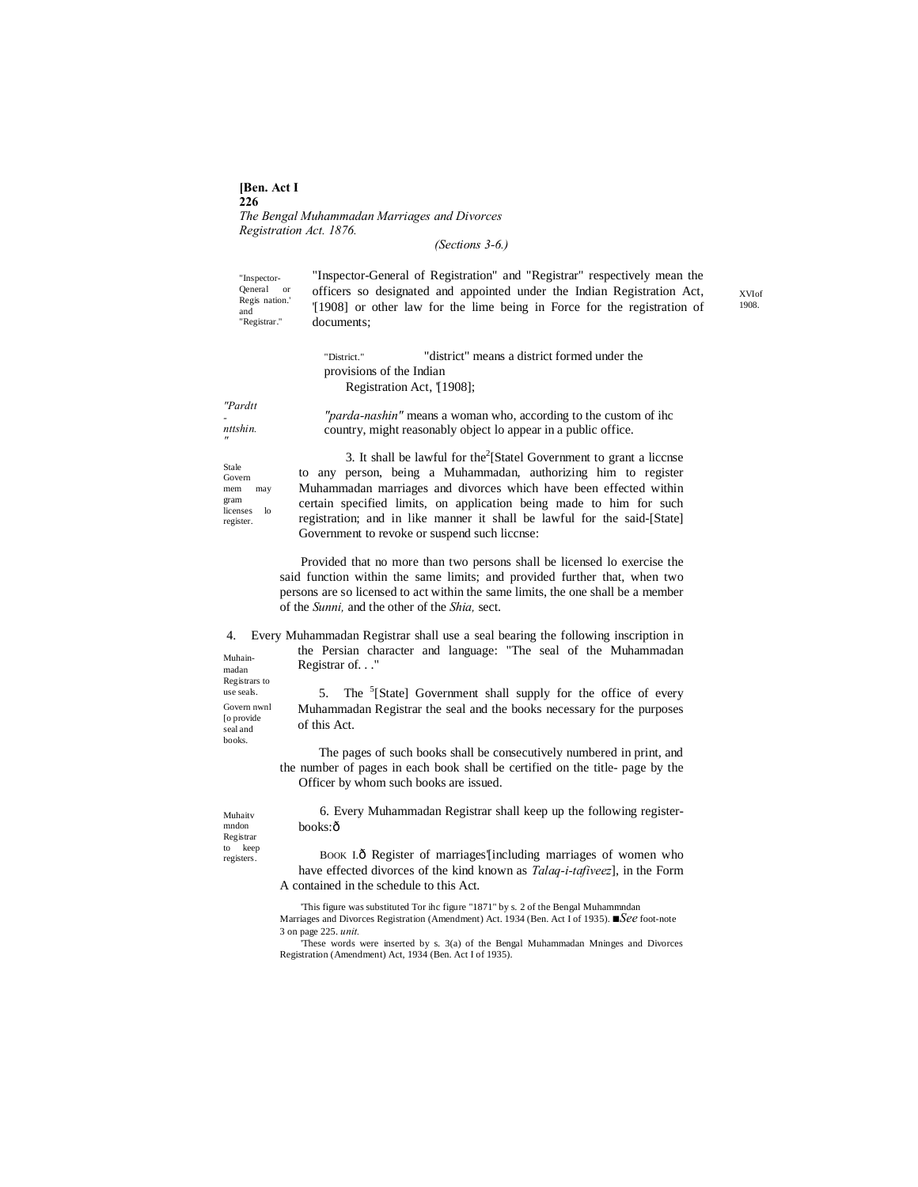**[Ben. Act I 226** *The Bengal Muhammadan Marriages and Divorces Registration Act. 1876.*

*(Sections 3-6.)*

"Inspector-Qeneral or Regis nation.' and "Registrar." "Inspector-General of Registration" and "Registrar" respectively mean the officers so designated and appointed under the Indian Registration Act, '[1908] or other law for the lime being in Force for the registration of documents;

"District." "district" means a district formed under the provisions of the Indian Registration Act, [1908];

*"Pardtt - nttshin. "parda-nashin"* means a woman who, according to the custom of ihc country, might reasonably object lo appear in a public office.

Govern mem may gram licenses lo register. 3. It shall be lawful for the $2$ [Statel Government to grant a liccnse to any person, being a Muhammadan, authorizing him to register Muhammadan marriages and divorces which have been effected within certain specified limits, on application being made to him for such registration; and in like manner it shall be lawful for the said-[State] Government to revoke or suspend such liccnse:

> Provided that no more than two persons shall be licensed lo exercise the said function within the same limits; and provided further that, when two persons are so licensed to act within the same limits, the one shall be a member of the *Sunni,* and the other of the *Shia,* sect.

Muhainmadan Registrars to 4. Every Muhammadan Registrar shall use a seal bearing the following inscription in the Persian character and language: "The seal of the Muhammadan Registrar of. . ."

5. The <sup>5</sup>[State] Government shall supply for the office of every Muhammadan Registrar the seal and the books necessary for the purposes of this Act.

The pages of such books shall be consecutively numbered in print, and the number of pages in each book shall be certified on the title- page by the Officer by whom such books are issued.

Muhaitv mndon Registrar to keep registers.

use seals. Govern nwnl [o provide seal and books.

*"* Stale

> 6. Every Muhammadan Registrar shall keep up the following registerbooks:ô

BOOK I.ô Register of marriages'[including marriages of women who have effected divorces of the kind known as *Talaq-i-tafiveez*], in the Form A contained in the schedule to this Act.

'This figure was substituted Tor ihc figure "1871" by s. 2 of the Bengal Muhammndan Marriages and Divorces Registration (Amendment) Act. 1934 (Ben. Act I of 1935). *■See* foot-note 3 on page 225. *unit.*

'These words were inserted by s. 3(a) of the Bengal Muhammadan Mninges and Divorces Registration (Amendment) Act, 1934 (Ben. Act I of 1935).

XVIof 1908.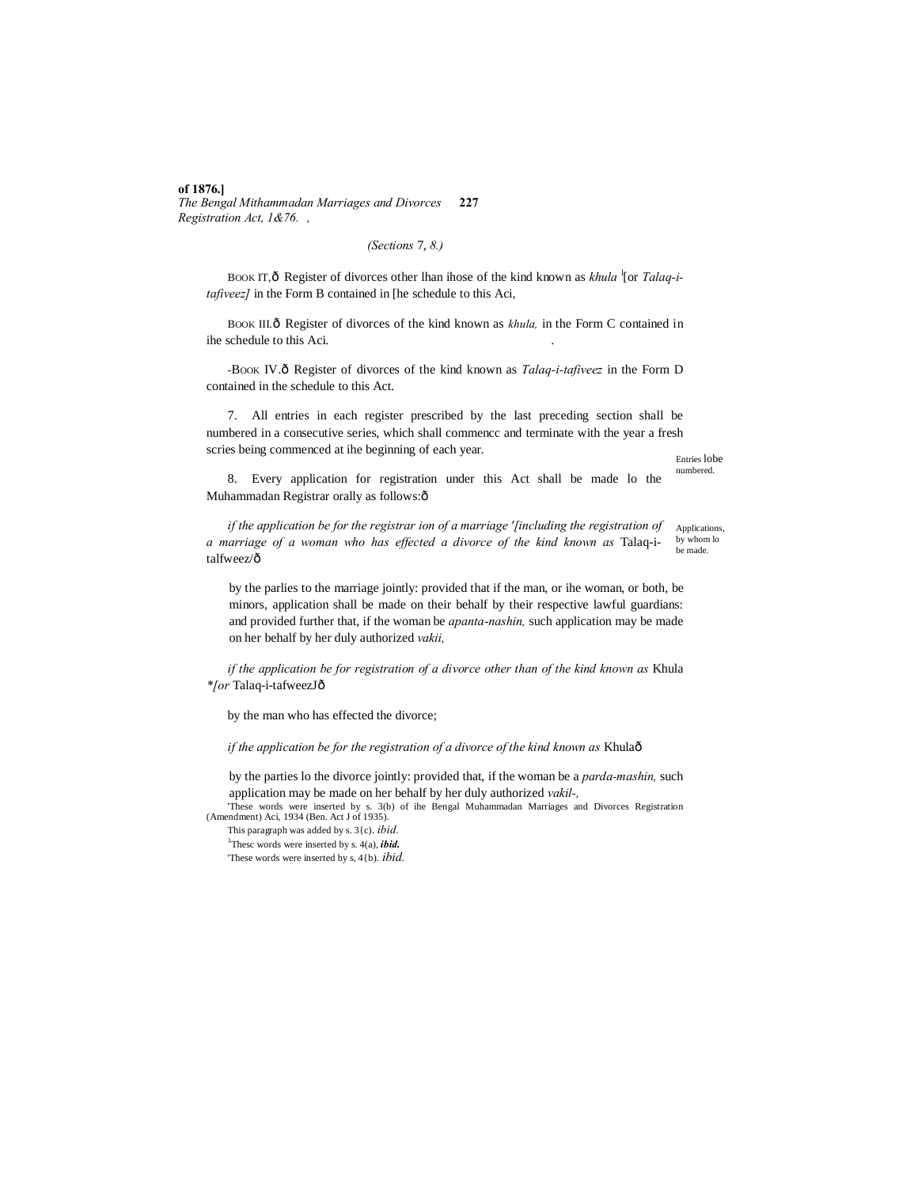#### **of 1876.]**

*The Bengal Mithammadan Marriages and Divorces* **227** *Registration Act, 1&76. ,*

## *(Sections* 7, *8.)*

BOOK IT,  $\hat{o}$  Register of divorces other lhan ihose of the kind known as *khula* <sup>1</sup>[or *Talaq-itafiveez]* in the Form B contained in [he schedule to this Aci,

BOOK III. $\delta$  Register of divorces of the kind known as *khula*, in the Form C contained in ihe schedule to this Aci.

-BOOK IV.ô Register of divorces of the kind known as *Talaq-i-tafiveez* in the Form D contained in the schedule to this Act.

7. All entries in each register prescribed by the last preceding section shall be numbered in a consecutive series, which shall commencc and terminate with the year a fresh scries being commenced at ihe beginning of each year.

Entries lobe numbered.

8. Every application for registration under this Act shall be made lo the Muhammadan Registrar orally as follows:ô

Applications, by whom lo be made. *if the application be for the registrar ion of a marriage '[including the registration of a marriage of a woman who has effected a divorce of the kind known as* Talaq-italfweez/ô

by the parlies to the marriage jointly: provided that if the man, or ihe woman, or both, be minors, application shall be made on their behalf by their respective lawful guardians: and provided further that, if the woman be *apanta-nashin,* such application may be made on her behalf by her duly authorized *vakii,*

*if the application be for registration of a divorce other than of the kind known as* Khula *\*[or* Talaq-i-tafweezJ—

by the man who has effected the divorce;

*if the application be for the registration of a divorce of the kind known as Khulaô* 

by the parties lo the divorce jointly: provided that, if the woman be a *parda-mashin,* such application may be made on her behalf by her duly authorized *vakil-,*

'These words were inserted by s. 3(b) of ihe Bengal Muhammadan Marriages and Divorces Registration (Amendment) Aci, 1934 (Ben. Act J of 1935).

This paragraph was added by s. 3{c). *ibid.* 3 Thesc words were inserted by s. 4(a), *ibid.*

'These words were inserted by s, 4{b). *ibid.*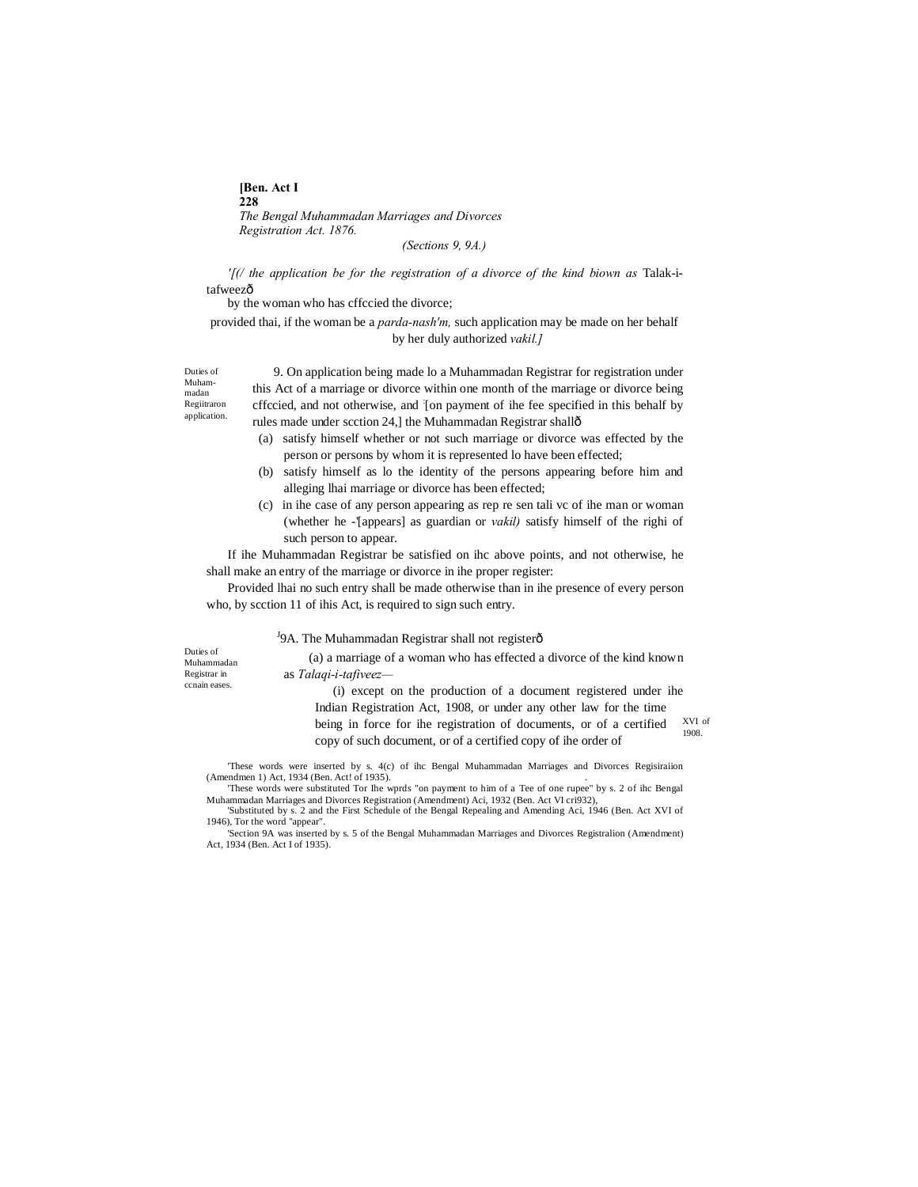**[Ben. Act I 228** *The Bengal Muhammadan Marriages and Divorces Registration Act. 1876.*

*(Sections 9, 9A.)*

*'[(/ the application be for the registration of a divorce of the kind biown as* Talak-itafweezô

by the woman who has cffccied the divorce;

provided thai, if the woman be a *parda-nash'm,* such application may be made on her behalf by her duly authorized *vakil.]*

Duties of Muhammadan Regiitraron application.

9. On application being made lo a Muhammadan Registrar for registration under this Act of a marriage or divorce within one month of the marriage or divorce being cffccied, and not otherwise, and : [on payment of ihe fee specified in this behalf by rules made under scction 24,] the Muhammadan Registrar shallô

- (a) satisfy himself whether or not such marriage or divorce was effected by the person or persons by whom it is represented lo have been effected;
- (b) satisfy himself as lo the identity of the persons appearing before him and alleging lhai marriage or divorce has been effected;
- (c) in ihe case of any person appearing as rep re sen tali vc of ihe man or woman (whether he -'[appears] as guardian or *vakil)* satisfy himself of the righi of such person to appear.

If ihe Muhammadan Registrar be satisfied on ihc above points, and not otherwise, he shall make an entry of the marriage or divorce in ihe proper register:

Provided lhai no such entry shall be made otherwise than in ihe presence of every person who, by scction 11 of ihis Act, is required to sign such entry.

## <sup>J</sup>9A. The Muhammadan Registrar shall not registerô

Duties of Muhammadan Registrar in ccnain eases.

(a) a marriage of a woman who has effected a divorce of the kind known as *Talaqi-i-tafiveez—*

XVI of 1908. (i) except on the production of a document registered under ihe Indian Registration Act, 1908, or under any other law for the time being in force for ihe registration of documents, or of a certified copy of such document, or of a certified copy of ihe order of

'These words were inserted by s. 4(c) of ihc Bengal Muhammadan Marriages and Divorces Regisiraiion (Amendmen 1) Act, 1934 (Ben. Act! of 1935).

'These words were substituted Tor Ihe wprds "on payment to him of a Tee of one rupee" by s. 2 of ihc Bengal Muhammadan Marriages and Divorces Registration (Amendment) Aci, 1932 (Ben. Act VI cri932), 'Substituted by s. 2 and the First Schedule of the Bengal Repealing and Amending Aci, 1946 (Ben. Act XVI of 1946), Tor the word "appear".

'Section 9A was inserted by s. 5 of the Bengal Muhammadan Marriages and Divorces Registralion (Amendment) Act, 1934 (Ben. Act I of 1935).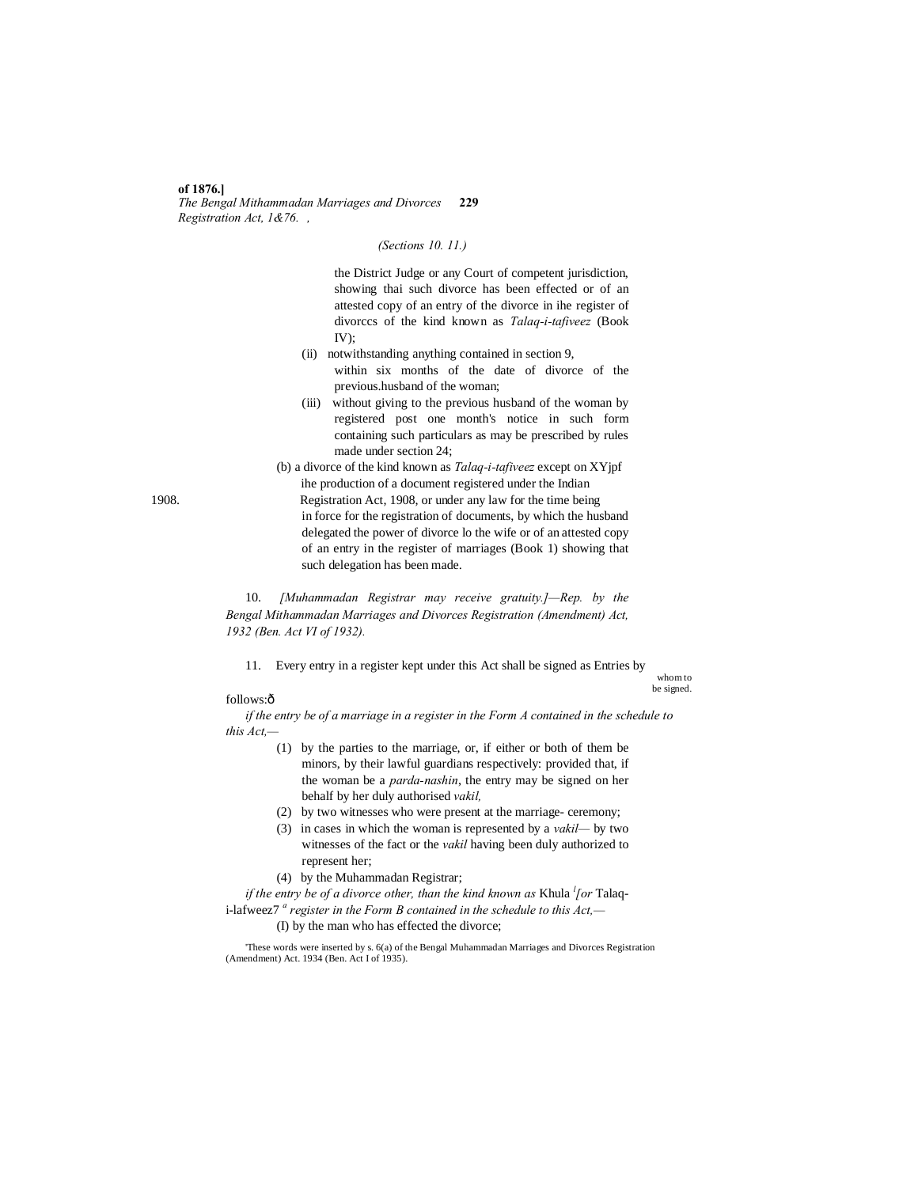#### **of 1876.]** *The Bengal Mithammadan Marriages and Divorces* **229** *Registration Act, 1&76. ,*

*(Sections 10. 11.)*

the District Judge or any Court of competent jurisdiction, showing thai such divorce has been effected or of an attested copy of an entry of the divorce in ihe register of divorccs of the kind known as *Talaq-i-tafiveez* (Book  $IV$ );

- (ii) notwithstanding anything contained in section 9, within six months of the date of divorce of the previous.husband of the woman;
- (iii) without giving to the previous husband of the woman by registered post one month's notice in such form containing such particulars as may be prescribed by rules made under section 24;
- (b) a divorce of the kind known as *Talaq-i-tafiveez* except on XYjpf ihe production of a document registered under the Indian
- 1908. Registration Act, 1908, or under any law for the time being in force for the registration of documents, by which the husband delegated the power of divorce lo the wife or of an attested copy of an entry in the register of marriages (Book 1) showing that such delegation has been made.

10. *[Muhammadan Registrar may receive gratuity.]—Rep. by the Bengal Mithammadan Marriages and Divorces Registration (Amendment) Act, 1932 (Ben. Act VI of 1932).*

11. Every entry in a register kept under this Act shall be signed as Entries by

whom to be signed.

## follows:ô

*if the entry be of a marriage in a register in the Form A contained in the schedule to this Act,—*

- (1) by the parties to the marriage, or, if either or both of them be minors, by their lawful guardians respectively: provided that, if the woman be a *parda-nashin*, the entry may be signed on her behalf by her duly authorised *vakil,*
- (2) by two witnesses who were present at the marriage- ceremony;
- (3) in cases in which the woman is represented by a *vakil—* by two witnesses of the fact or the *vakil* having been duly authorized to represent her;
- (4) by the Muhammadan Registrar;

*if the entry be of a divorce other, than the kind known as Khula <sup><i>l</sup>* [or Talaq-</sup> i-lafweez7 *<sup>a</sup> register in the Form B contained in the schedule to this Act,—*

(I) by the man who has effected the divorce;

'These words were inserted by s. 6(a) of the Bengal Muhammadan Marriages and Divorces Registration (Amendment) Act. 1934 (Ben. Act I of 1935).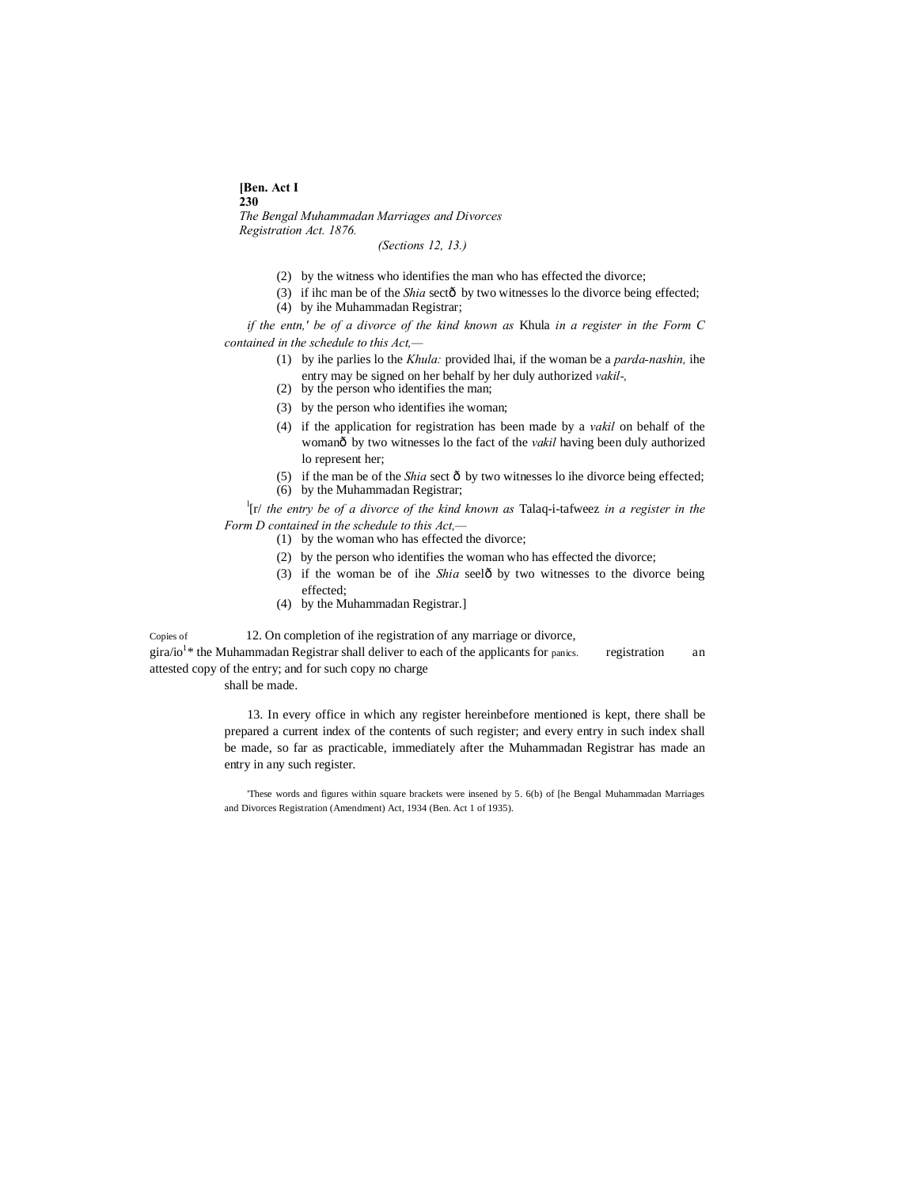#### **[Ben. Act I**

**230** *The Bengal Muhammadan Marriages and Divorces Registration Act. 1876.*

*(Sections 12, 13.)*

- (2) by the witness who identifies the man who has effected the divorce;
- (3) if ihc man be of the *Shia* sectô by two witnesses lo the divorce being effected;
- (4) by ihe Muhammadan Registrar;

*if the entn,' be of a divorce of the kind known as* Khula *in a register in the Form C contained in the schedule to this Act,—*

- (1) by ihe parlies lo the *Khula:* provided lhai, if the woman be a *parda-nashin,* ihe entry may be signed on her behalf by her duly authorized *vakil-,*
- (2) by the person who identifies the man;
- (3) by the person who identifies ihe woman;
- (4) if the application for registration has been made by a *vakil* on behalf of the womanô by two witnesses lo the fact of the *vakil* having been duly authorized lo represent her;
- (5) if the man be of the *Shia* sect  $\hat{o}$  by two witnesses lo ihe divorce being effected; (6) by the Muhammadan Registrar;

l [r/ *the entry be of a divorce of the kind known as* Talaq-i-tafweez *in a register in the Form D contained in the schedule to this Act,—*

- (1) by the woman who has effected the divorce;
- (2) by the person who identifies the woman who has effected the divorce;
- (3) if the woman be of ihe *Shia* seelô by two witnesses to the divorce being effected;
- (4) by the Muhammadan Registrar.]

Copies of 12. On completion of ihe registration of any marriage or divorce,  $\text{gira/io}^{1*}$  the Muhammadan Registrar shall deliver to each of the applicants for panics. registration an attested copy of the entry; and for such copy no charge

shall be made.

13. In every office in which any register hereinbefore mentioned is kept, there shall be prepared a current index of the contents of such register; and every entry in such index shall be made, so far as practicable, immediately after the Muhammadan Registrar has made an entry in any such register.

'These words and figures within square brackets were insened by 5. 6(b) of [he Bengal Muhammadan Marriages and Divorces Registration (Amendment) Act, 1934 (Ben. Act 1 of 1935).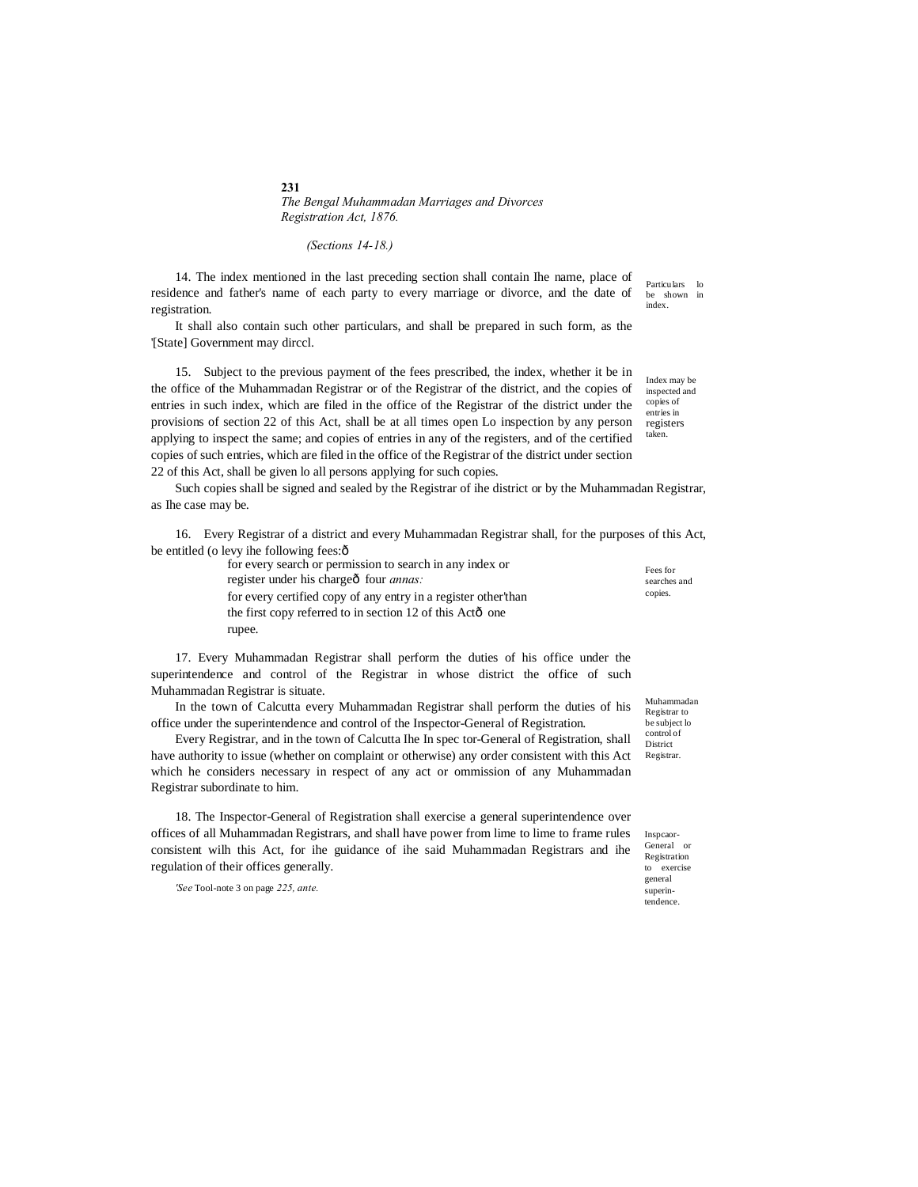**231** *The Bengal Muhammadan Marriages and Divorces Registration Act, 1876.*

*(Sections 14-18.)*

14. The index mentioned in the last preceding section shall contain Ihe name, place of residence and father's name of each party to every marriage or divorce, and the date of registration.

It shall also contain such other particulars, and shall be prepared in such form, as the '[State] Government may dirccl.

15. Subject to the previous payment of the fees prescribed, the index, whether it be in the office of the Muhammadan Registrar or of the Registrar of the district, and the copies of entries in such index, which are filed in the office of the Registrar of the district under the provisions of section 22 of this Act, shall be at all times open Lo inspection by any person applying to inspect the same; and copies of entries in any of the registers, and of the certified copies of such entries, which are filed in the office of the Registrar of the district under section 22 of this Act, shall be given lo all persons applying for such copies.

Such copies shall be signed and sealed by the Registrar of ihe district or by the Muhammadan Registrar, as Ihe case may be.

16. Every Registrar of a district and every Muhammadan Registrar shall, for the purposes of this Act, be entitled (o levy ihe following fees: $\hat{o}$ 

> Fees for searches and copies. for every search or permission to search in any index or register under his chargeô four *annas*: for every certified copy of any entry in a register other'than the first copy referred to in section  $12$  of this Actô one rupee.

17. Every Muhammadan Registrar shall perform the duties of his office under the superintendence and control of the Registrar in whose district the office of such Muhammadan Registrar is situate.

In the town of Calcutta every Muhammadan Registrar shall perform the duties of his office under the superintendence and control of the Inspector-General of Registration.

Every Registrar, and in the town of Calcutta Ihe In spec tor-General of Registration, shall have authority to issue (whether on complaint or otherwise) any order consistent with this Act which he considers necessary in respect of any act or ommission of any Muhammadan Registrar subordinate to him.

18. The Inspector-General of Registration shall exercise a general superintendence over offices of all Muhammadan Registrars, and shall have power from lime to lime to frame rules consistent wilh this Act, for ihe guidance of ihe said Muhammadan Registrars and ihe regulation of their offices generally.

*'See* Tool-note 3 on page *225, ante.*

Muhammadan Registrar to be subject lo control of District Registrar.

Inspcaor-General or Registration to exercise general superintendence.

Particulars lo be shown in index.

Index may be inspected and copies of entries in registers taken.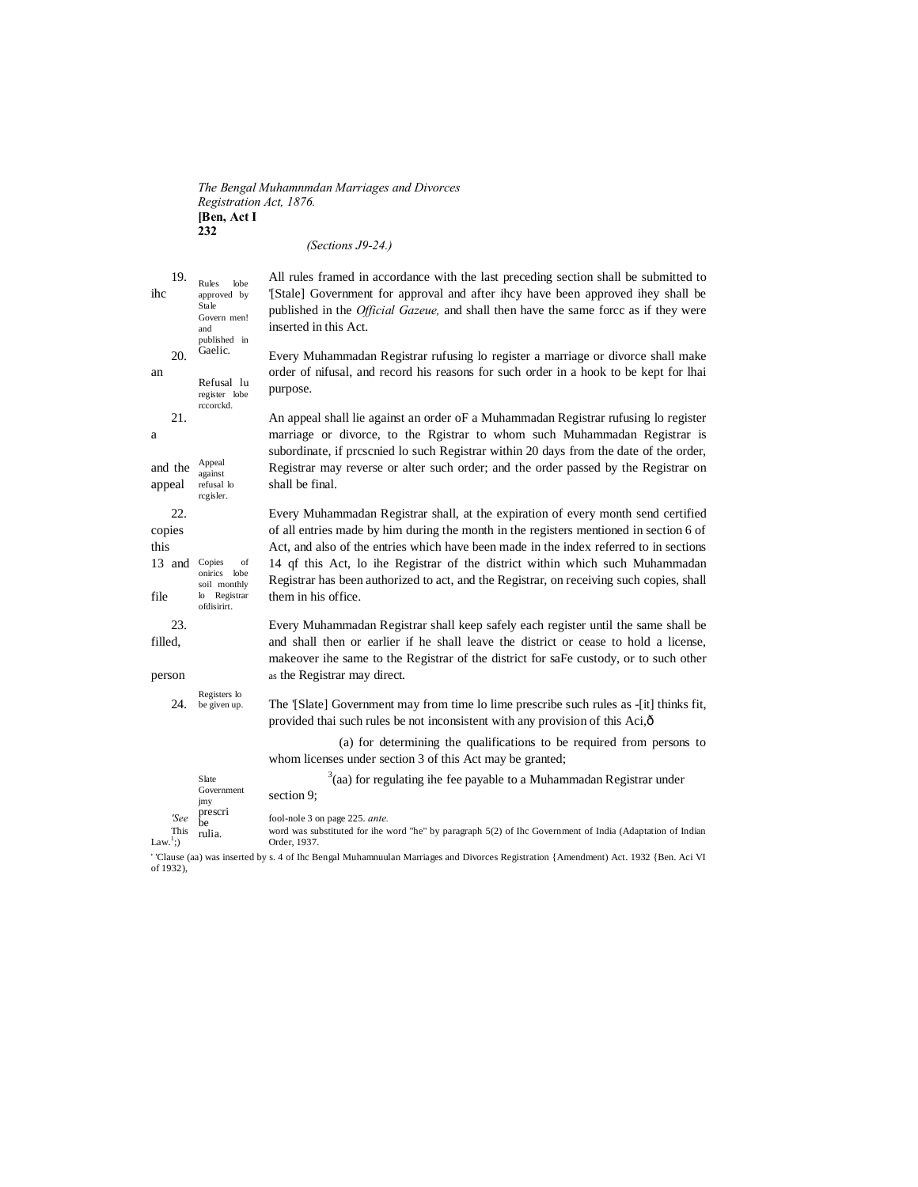#### *The Bengal Muhamnmdan Marriages and Divorces Registration Act, 1876.* **[Ben, Act I 232** *(Sections J9-24.)*

| 19.<br>ihc                            | Rules<br>lobe<br>approved by<br>Stale<br>Govern men!<br>and       | All rules framed in accordance with the last preceding section shall be submitted to<br>[Stale] Government for approval and after ihcy have been approved ihey shall be<br>published in the <i>Official Gazeue</i> , and shall then have the same force as if they were<br>inserted in this Act. |
|---------------------------------------|-------------------------------------------------------------------|--------------------------------------------------------------------------------------------------------------------------------------------------------------------------------------------------------------------------------------------------------------------------------------------------|
| 20.<br>an                             | published in<br>Gaelic.<br>Refusal lu<br>register lobe            | Every Muhammadan Registrar rufusing lo register a marriage or divorce shall make<br>order of nifusal, and record his reasons for such order in a hook to be kept for lhai<br>purpose.                                                                                                            |
| 21.<br>a                              | rccorckd.                                                         | An appeal shall lie against an order oF a Muhammadan Registrar rufusing lo register<br>marriage or divorce, to the Rgistrar to whom such Muhammadan Registrar is<br>subordinate, if prescnied to such Registrar within 20 days from the date of the order,                                       |
| and the<br>appeal                     | Appeal<br>against<br>refusal lo<br>regisler.                      | Registrar may reverse or alter such order; and the order passed by the Registrar on<br>shall be final.                                                                                                                                                                                           |
| 22.<br>copies<br>this                 |                                                                   | Every Muhammadan Registrar shall, at the expiration of every month send certified<br>of all entries made by him during the month in the registers mentioned in section 6 of<br>Act, and also of the entries which have been made in the index referred to in sections                            |
| 13 and Copies<br>file                 | of<br>onirics lobe<br>soil monthly<br>lo Registrar<br>ofdisirirt. | 14 qf this Act, lo ihe Registrar of the district within which such Muhammadan<br>Registrar has been authorized to act, and the Registrar, on receiving such copies, shall<br>them in his office.                                                                                                 |
| 23.<br>filled.                        |                                                                   | Every Muhammadan Registrar shall keep safely each register until the same shall be<br>and shall then or earlier if he shall leave the district or cease to hold a license,<br>makeover ihe same to the Registrar of the district for saFe custody, or to such other                              |
| person                                |                                                                   | as the Registrar may direct.                                                                                                                                                                                                                                                                     |
| 24.                                   | Registers lo<br>be given up.                                      | The '[Slate] Government may from time lo lime prescribe such rules as -[it] thinks fit,<br>provided thai such rules be not inconsistent with any provision of this Aci, ô                                                                                                                        |
|                                       |                                                                   | (a) for determining the qualifications to be required from persons to<br>whom licenses under section 3 of this Act may be granted;                                                                                                                                                               |
|                                       | Slate<br>Government<br>jmy                                        | $3$ (aa) for regulating ihe fee payable to a Muhammadan Registrar under<br>section 9;                                                                                                                                                                                                            |
| 'See<br>This<br>Law. $\frac{1}{2}$ :) | prescri<br>be<br>rulia.                                           | fool-nole 3 on page 225. ante.<br>word was substituted for ihe word "he" by paragraph 5(2) of Ihc Government of India (Adaptation of Indian<br>Order, 1937.                                                                                                                                      |

' 'Clause (aa) was inserted by s. 4 of Ihc Bengal Muhamnuulan Marriages and Divorces Registration {Amendment) Act. 1932 {Ben. Aci VI of 1932),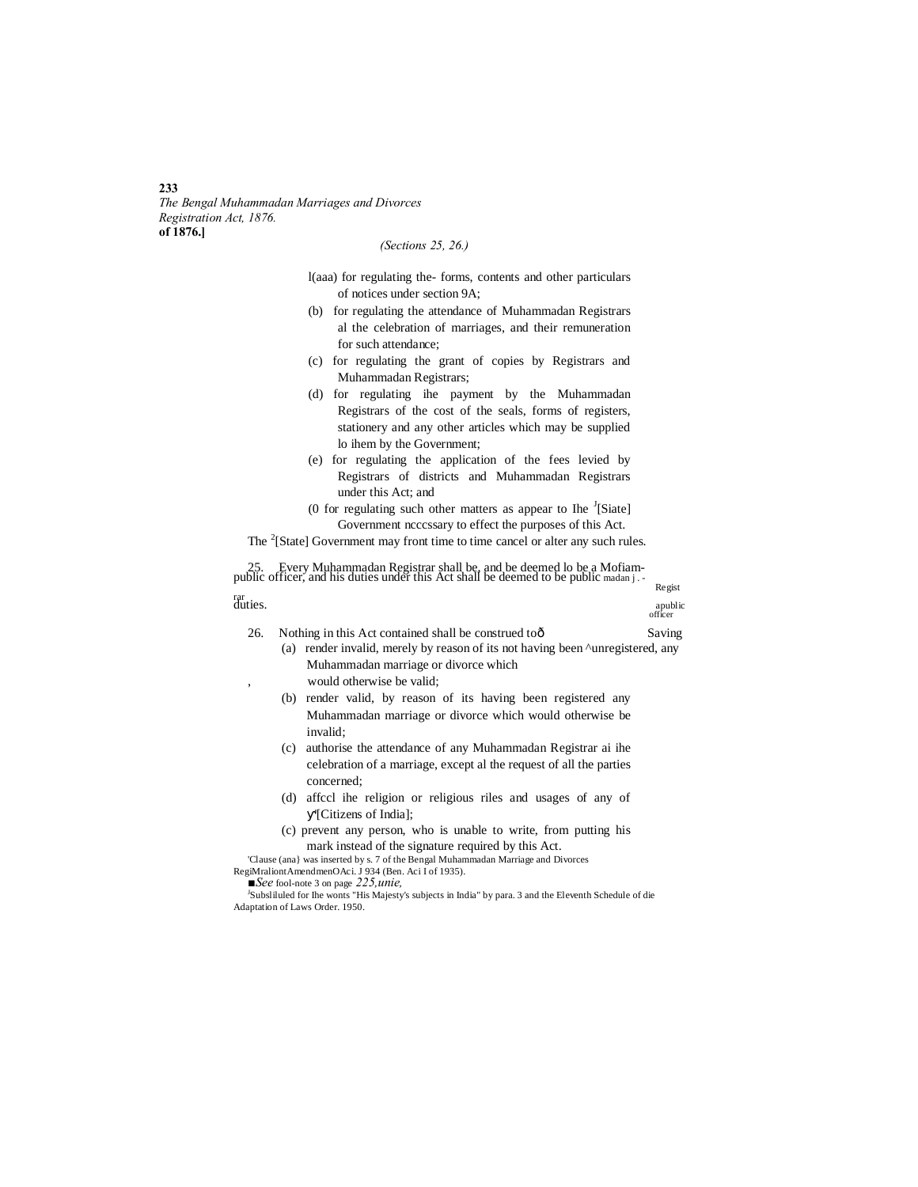*The Bengal Muhammadan Marriages and Divorces Registration Act, 1876.* **of 1876.]**

## *(Sections 25, 26.)*

- l(aaa) for regulating the- forms, contents and other particulars of notices under section 9A;
- (b) for regulating the attendance of Muhammadan Registrars al the celebration of marriages, and their remuneration for such attendance;
- (c) for regulating the grant of copies by Registrars and Muhammadan Registrars;
- (d) for regulating ihe payment by the Muhammadan Registrars of the cost of the seals, forms of registers, stationery and any other articles which may be supplied lo ihem by the Government;
- (e) for regulating the application of the fees levied by Registrars of districts and Muhammadan Registrars under this Act; and
- (0 for regulating such other matters as appear to Ihe  $\textsuperscript{J}[\text{Siate}]$ Government ncccssary to effect the purposes of this Act.
- The <sup>2</sup>[State] Government may front time to time cancel or alter any such rules.

25. Every Muhammadan Registrar shall be, and be deemed lo be a Mofiam-<br>public officer, and his duties under this Act shall be deemed to be public madan j .-<br>rar<br>duties.

duties. Apublic contract of the contract of the contract of the contract of the contract of the contract of the contract of the contract of the contract of the contract of the contract of the contract of the contract of th

apublic<br>officer

- 26. Nothing in this Act contained shall be construed toô Saving (a) render invalid, merely by reason of its not having been ^unregistered, any Muhammadan marriage or divorce which would otherwise be valid; (b) render valid, by reason of its having been registered any Muhammadan marriage or divorce which would otherwise be invalid;
	- (c) authorise the attendance of any Muhammadan Registrar ai ihe celebration of a marriage, except al the request of all the parties concerned;
	- (d) affccl ihe religion or religious riles and usages of any of '[Citizens of India];
	- (c) prevent any person, who is unable to write, from putting his mark instead of the signature required by this Act.

'Clause (ana} was inserted by s. 7 of the Bengal Muhammadan Marriage and Divorces

RegiMraliontAmendmenOAci. J 934 (Ben. Aci I of 1935).

■*See* fool-note 3 on page 225,unie,

Subsliluled for Ihe wonts "His Majesty's subjects in India" by para. 3 and the Eleventh Schedule of die Adaptation of Laws Order. 1950.

#### **233**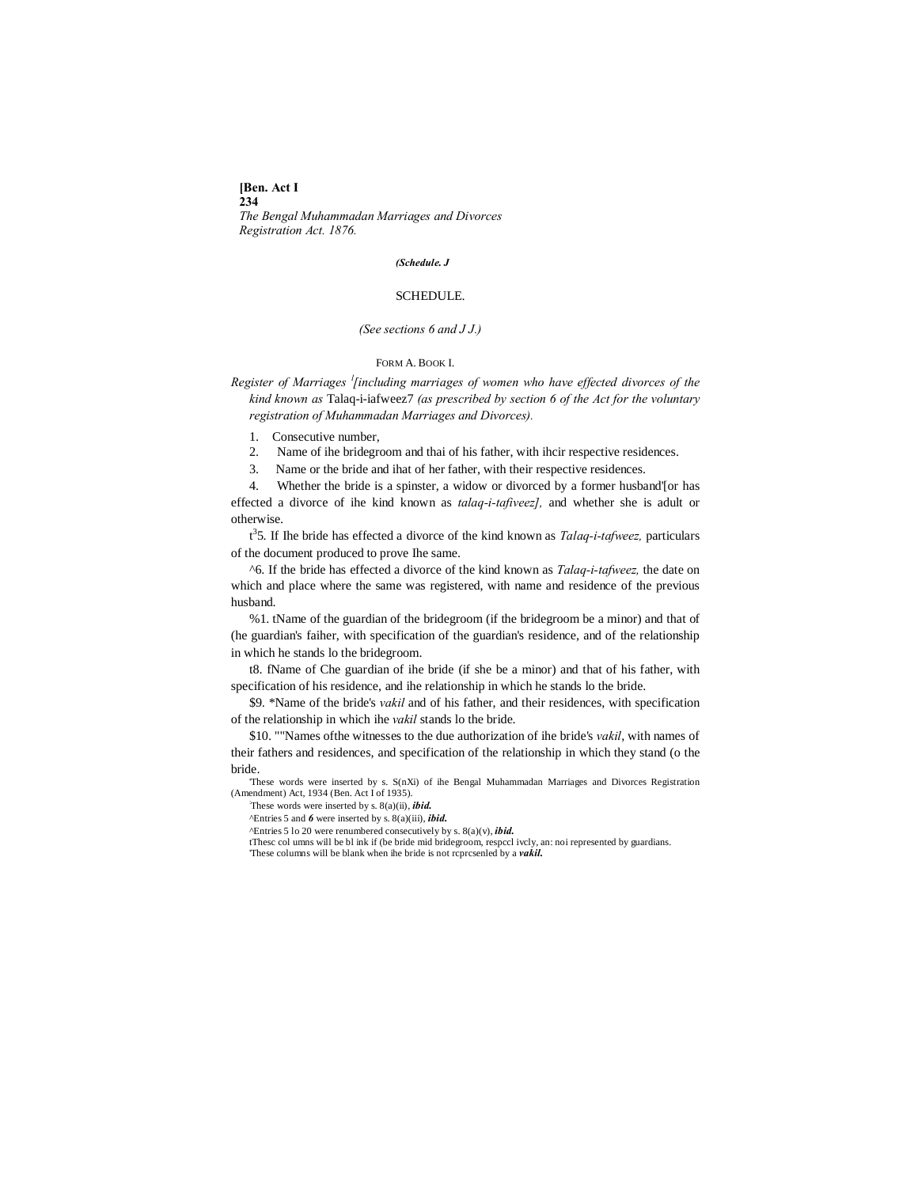**[Ben. Act I 234**

*The Bengal Muhammadan Marriages and Divorces Registration Act. 1876.*

#### *(Schedule. J*

## SCHEDULE.

## *(See sections 6 and J J.)*

## FORM A. BOOK I.

*Register of Marriages <sup>l</sup> [including marriages of women who have effected divorces of the kind known as* Talaq-i-iafweez7 *(as prescribed by section 6 of the Act for the voluntary registration of Muhammadan Marriages and Divorces).*

1. Consecutive number,

2. Name of ihe bridegroom and thai of his father, with ihcir respective residences.

3. Name or the bride and ihat of her father, with their respective residences.

4. Whether the bride is a spinster, a widow or divorced by a former husband'[or has effected a divorce of ihe kind known as *talaq-i-tafiveez],* and whether she is adult or otherwise.

t 3 5. If Ihe bride has effected a divorce of the kind known as *Talaq-i-tafweez,* particulars of the document produced to prove Ihe same.

^6. If the bride has effected a divorce of the kind known as *Talaq-i-tafweez,* the date on which and place where the same was registered, with name and residence of the previous husband.

%1. tName of the guardian of the bridegroom (if the bridegroom be a minor) and that of (he guardian's faiher, with specification of the guardian's residence, and of the relationship in which he stands lo the bridegroom.

t8. fName of Che guardian of ihe bride (if she be a minor) and that of his father, with specification of his residence, and ihe relationship in which he stands lo the bride.

\$9. \*Name of the bride's *vakil* and of his father, and their residences, with specification of the relationship in which ihe *vakil* stands lo the bride.

\$10. ""Names ofthe witnesses to the due authorization of ihe bride's *vakil*, with names of their fathers and residences, and specification of the relationship in which they stand (o the bride.

'These words were inserted by s. S(nXi) of ihe Bengal Muhammadan Marriages and Divorces Registration (Amendment) Act, 1934 (Ben. Act I of 1935).

: These words were inserted by s. 8(a)(ii), *ibid.*

^Entries 5 and *6* were inserted by s. 8(a)(iii), *ibid.*

^Entries 5 lo 20 were renumbered consecutively by s. 8(a)(v), *ibid.*

tThesc col umns will be bl ink if (be bride mid bridegroom, respccl ivcly, an: noi represented by guardians. 'These columns will be blank when ihe bride is not rcprcsenled by a *vakil.*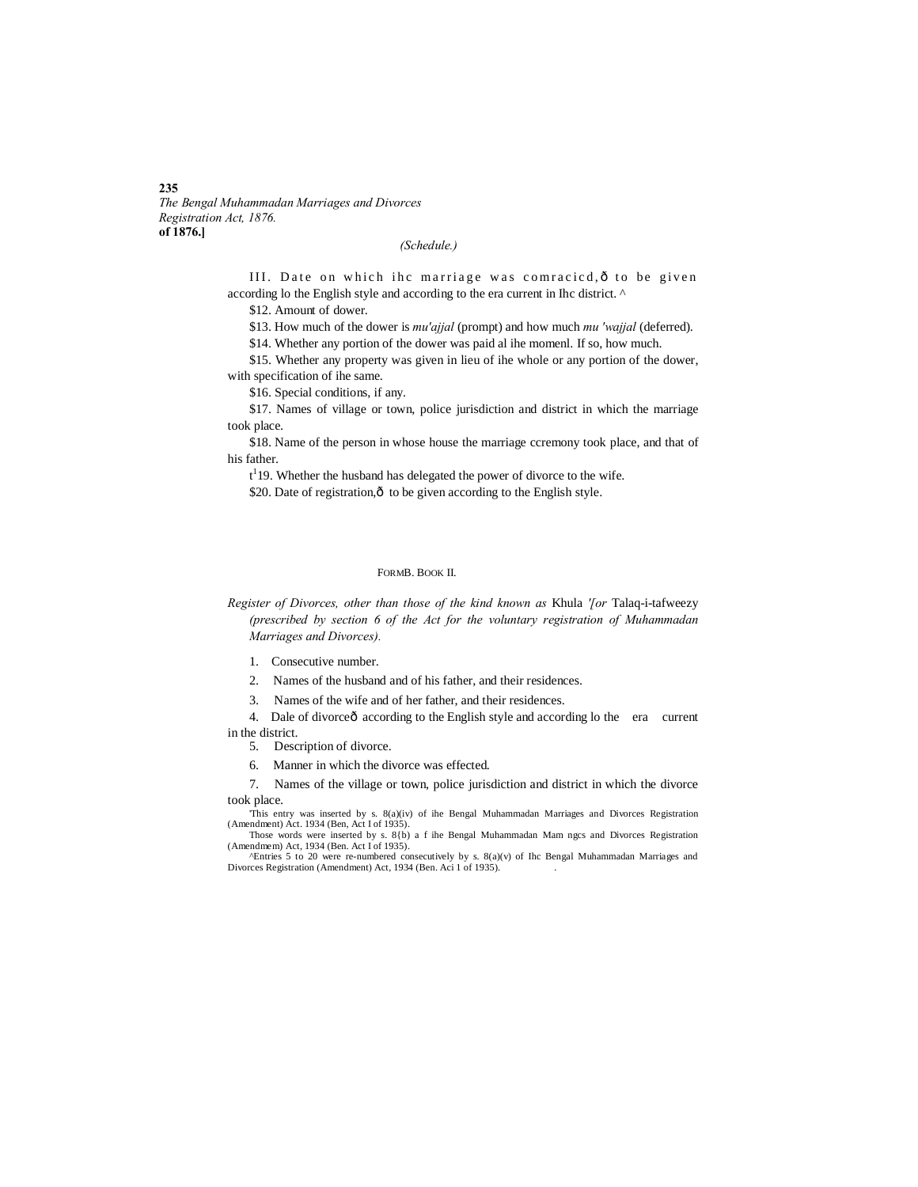*The Bengal Muhammadan Marriages and Divorces Registration Act, 1876.* **of 1876.]**

## *(Schedule.)*

III. Date on which ihc marriage was comracied,  $\hat{o}$  to be given according lo the English style and according to the era current in Ihc district. ^

\$12. Amount of dower.

\$13. How much of the dower is *mu'ajjal* (prompt) and how much *mu 'wajjal* (deferred).

\$14. Whether any portion of the dower was paid al ihe momenl. If so, how much.

\$15. Whether any property was given in lieu of ihe whole or any portion of the dower, with specification of ihe same.

\$16. Special conditions, if any.

\$17. Names of village or town, police jurisdiction and district in which the marriage took place.

\$18. Name of the person in whose house the marriage ccremony took place, and that of his father.

 $t<sup>1</sup>$  19. Whether the husband has delegated the power of divorce to the wife.

\$20. Date of registration, $\hat{o}$  to be given according to the English style.

#### FORMB. BOOK II.

*Register of Divorces, other than those of the kind known as* Khula *'[or* Talaq-i-tafweezy *(prescribed by section 6 of the Act for the voluntary registration of Muhammadan Marriages and Divorces).*

- 1. Consecutive number.
- 2. Names of the husband and of his father, and their residences.

3. Names of the wife and of her father, and their residences.

4. Dale of divorceô according to the English style and according lo the era current in the district.

5. Description of divorce.

6. Manner in which the divorce was effected.

7. Names of the village or town, police jurisdiction and district in which the divorce took place.

'This entry was inserted by s. 8(a)(iv) of ihe Bengal Muhammadan Marriages and Divorces Registration (Amendment) Act. 1934 (Ben, Act I of 1935). Those words were inserted by s. 8{b) a f ihe Bengal Muhammadan Mam ngcs and Divorces Registration

(Amendmem) Act, 1934 (Ben. Act I of 1935). ^Entries 5 to 20 were re-numbered consecutively by s. 8(a)(v) of Ihc Bengal Muhammadan Marriages and

Divorces Registration (Amendment) Act, 1934 (Ben. Aci 1 of 1935). .

#### **235**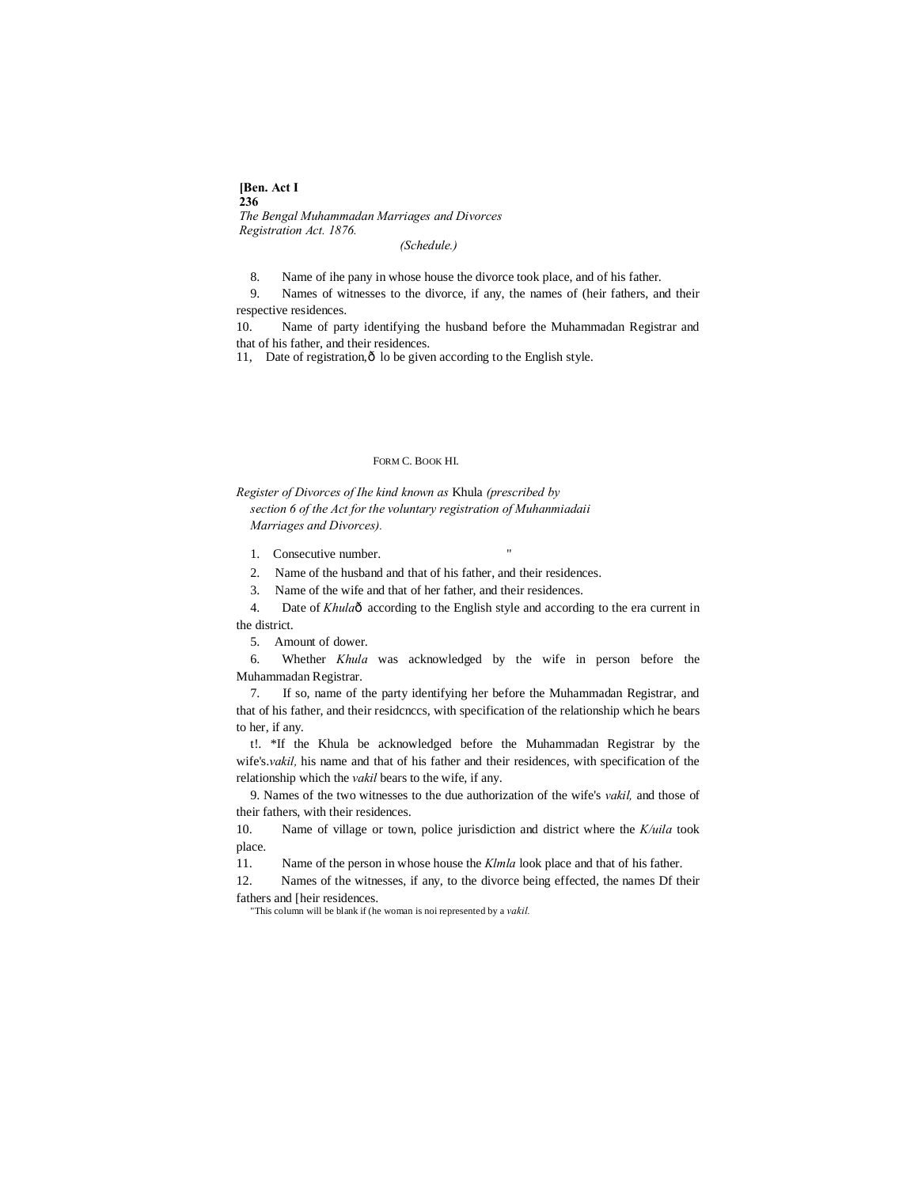**[Ben. Act I 236** *The Bengal Muhammadan Marriages and Divorces Registration Act. 1876.*

*(Schedule.)*

8. Name of ihe pany in whose house the divorce took place, and of his father.

9. Names of witnesses to the divorce, if any, the names of (heir fathers, and their respective residences.

10. Name of party identifying the husband before the Muhammadan Registrar and that of his father, and their residences.

11, Date of registration, ô lo be given according to the English style.

#### FORM C. BOOK HI.

*Register of Divorces of Ihe kind known as* Khula *(prescribed by section 6 of the Act for the voluntary registration of Muhanmiadaii Marriages and Divorces).*

1. Consecutive number.

2. Name of the husband and that of his father, and their residences.

3. Name of the wife and that of her father, and their residences.

4. Date of *Khula*ô according to the English style and according to the era current in the district.

5. Amount of dower.

6. Whether *Khula* was acknowledged by the wife in person before the Muhammadan Registrar.

7. If so, name of the party identifying her before the Muhammadan Registrar, and that of his father, and their residcnccs, with specification of the relationship which he bears to her, if any.

t!. \*If the Khula be acknowledged before the Muhammadan Registrar by the wife's.*vakil,* his name and that of his father and their residences, with specification of the relationship which the *vakil* bears to the wife, if any.

9. Names of the two witnesses to the due authorization of the wife's *vakil,* and those of their fathers, with their residences.

10. Name of village or town, police jurisdiction and district where the *K/uila* took place.

11. Name of the person in whose house the *Klmla* look place and that of his father.

12. Names of the witnesses, if any, to the divorce being effected, the names Df their fathers and [heir residences.

"This column will be blank if (he woman is noi represented by a *vakil.*